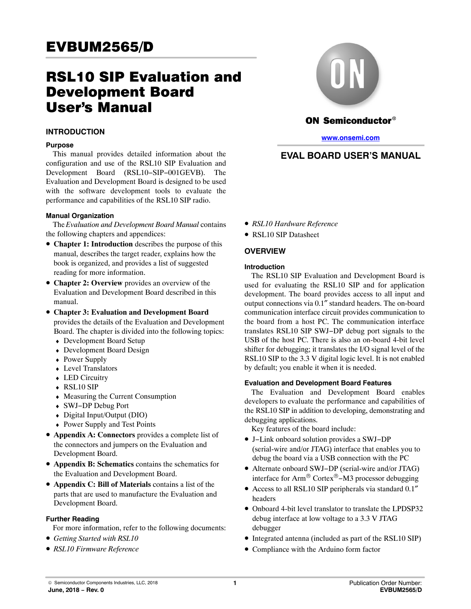# RSL10 SIP Evaluation and Development Board User's Manual

#### **INTRODUCTION**

#### **Purpose**

This manual provides detailed information about the configuration and use of the RSL10 SIP Evaluation and Development Board (RSL10−SIP−001GEVB). The Evaluation and Development Board is designed to be used with the software development tools to evaluate the performance and capabilities of the RSL10 SIP radio.

#### **Manual Organization**

The *Evaluation and Development Board Manual* contains the following chapters and appendices:

- **Chapter 1: Introduction** describes the purpose of this manual, describes the target reader, explains how the book is organized, and provides a list of suggested reading for more information.
- **Chapter 2: Overview** provides an overview of the Evaluation and Development Board described in this manual.
- **Chapter 3: Evaluation and Development Board** provides the details of the Evaluation and Development Board. The chapter is divided into the following topics:
	- ♦ Development Board Setup
	- ♦ Development Board Design
	- Power Supply
	- ♦ Level Translators
	- ♦ LED Circuitry
	- ♦ RSL10 SIP
	- ♦ Measuring the Current Consumption
	- ♦ SWJ−DP Debug Port
	- ♦ Digital Input/Output (DIO)
	- ♦ Power Supply and Test Points
- **Appendix A: Connectors** provides a complete list of the connectors and jumpers on the Evaluation and Development Board.
- **Appendix B: Schematics** contains the schematics for the Evaluation and Development Board.
- **Appendix C: Bill of Materials** contains a list of the parts that are used to manufacture the Evaluation and Development Board.

#### **Further Reading**

For more information, refer to the following documents:

- *Getting Started with RSL10*
- *RSL10 Firmware Reference*



## ON Semiconductor®

**[www.onsemi.com](http://www.onsemi.com/)**

## **EVAL BOARD USER'S MANUAL**

- *RSL10 Hardware Reference*
- RSL10 SIP Datasheet

### **OVERVIEW**

#### **Introduction**

The RSL10 SIP Evaluation and Development Board is used for evaluating the RSL10 SIP and for application development. The board provides access to all input and output connections via 0.1″ standard headers. The on-board communication interface circuit provides communication to the board from a host PC. The communication interface translates RSL10 SIP SWJ−DP debug port signals to the USB of the host PC. There is also an on-board 4-bit level shifter for debugging; it translates the I/O signal level of the RSL10 SIP to the 3.3 V digital logic level. It is not enabled by default; you enable it when it is needed.

#### **Evaluation and Development Board Features**

The Evaluation and Development Board enables developers to evaluate the performance and capabilities of the RSL10 SIP in addition to developing, demonstrating and debugging applications.

Key features of the board include:

- J−Link onboard solution provides a SWJ−DP (serial-wire and/or JTAG) interface that enables you to debug the board via a USB connection with the PC
- Alternate onboard SWJ−DP (serial-wire and/or JTAG) interface for Arm® Cortex®−M3 processor debugging
- Access to all RSL10 SIP peripherals via standard 0.1″ headers
- Onboard 4-bit level translator to translate the LPDSP32 debug interface at low voltage to a 3.3 V JTAG debugger
- Integrated antenna (included as part of the RSL10 SIP)
- Compliance with the Arduino form factor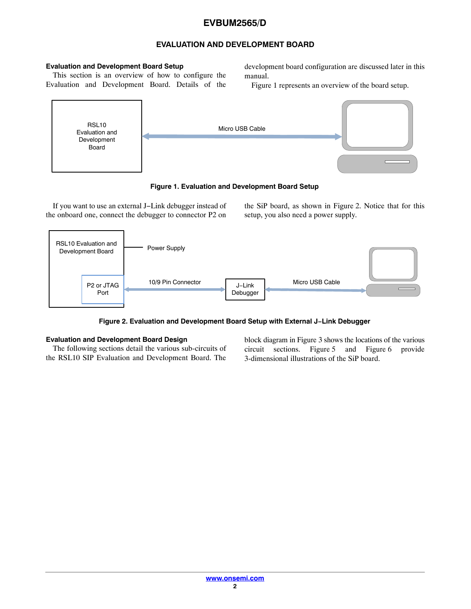## **EVALUATION AND DEVELOPMENT BOARD**

#### **Evaluation and Development Board Setup**

This section is an overview of how to configure the Evaluation and Development Board. Details of the development board configuration are discussed later in this manual.

Figure 1 represents an overview of the board setup.



**Figure 1. Evaluation and Development Board Setup**

If you want to use an external J−Link debugger instead of the onboard one, connect the debugger to connector P2 on the SiP board, as shown in Figure 2. Notice that for this setup, you also need a power supply.



**Figure 2. Evaluation and Development Board Setup with External J−Link Debugger**

### **Evaluation and Development Board Design**

The following sections detail the various sub-circuits of the RSL10 SIP Evaluation and Development Board. The

block diagram in Figure [3](#page-2-0) shows the locations of the various circuit sections. Figure [5](#page-3-0) and Figure [6](#page-3-0) provide 3-dimensional illustrations of the SiP board.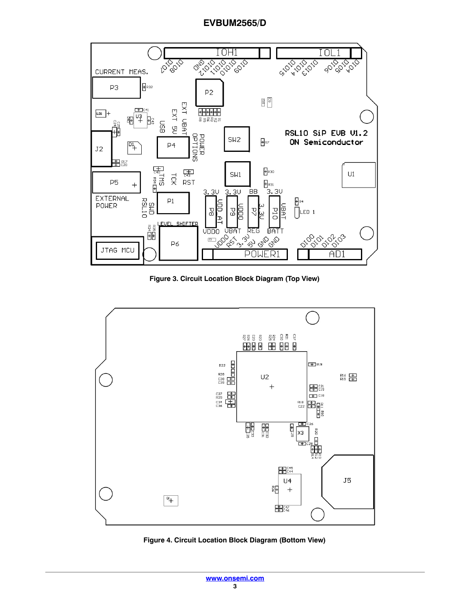<span id="page-2-0"></span>

**Figure 3. Circuit Location Block Diagram (Top View)**



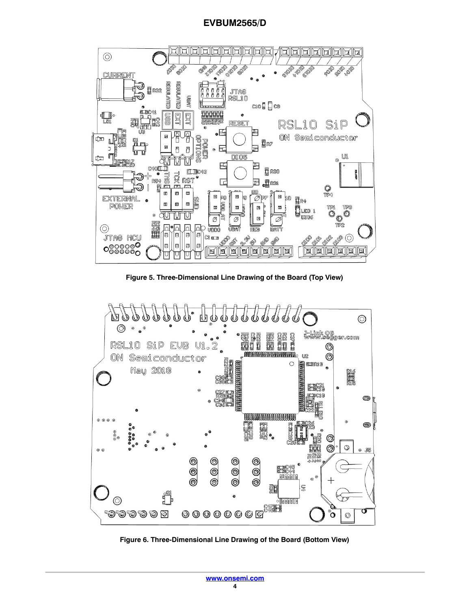<span id="page-3-0"></span>

**Figure 5. Three-Dimensional Line Drawing of the Board (Top View)**



**Figure 6. Three-Dimensional Line Drawing of the Board (Bottom View)**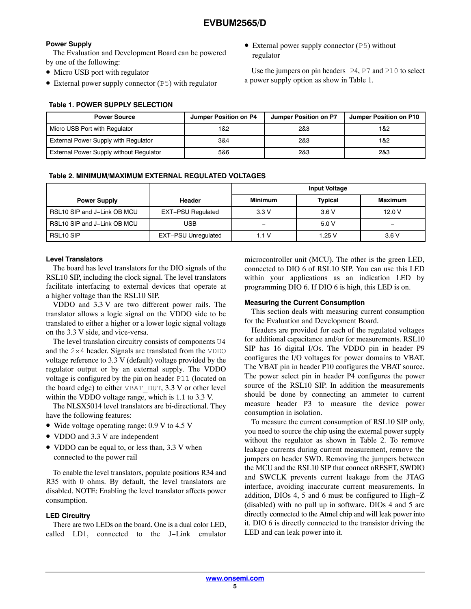#### <span id="page-4-0"></span>**Power Supply**

The Evaluation and Development Board can be powered by one of the following:

- Micro USB port with regulator
- External power supply connector (P5) with regulator

#### **Table 1. POWER SUPPLY SELECTION**

• External power supply connector (P5) without regulator

Use the jumpers on pin headers  $P4$ ,  $P7$  and  $P10$  to select a power supply option as show in Table 1.

| <b>Power Source</b>                            | Jumper Position on P4 | Jumper Position on P7 | Jumper Position on P10 |
|------------------------------------------------|-----------------------|-----------------------|------------------------|
| Micro USB Port with Regulator                  | 1&2                   | 2&3                   | 1&2                    |
| <b>External Power Supply with Regulator</b>    | 3&4                   | 2&3                   | 1&2                    |
| <b>External Power Supply without Regulator</b> | 5&6                   | 2&3                   | 2&3                    |

#### **Table 2. MINIMUM/MAXIMUM EXTERNAL REGULATED VOLTAGES**

|                             |                            | <b>Input Voltage</b> |                |         |
|-----------------------------|----------------------------|----------------------|----------------|---------|
| <b>Power Supply</b>         | Header                     | <b>Minimum</b>       | <b>Typical</b> | Maximum |
| RSL10 SIP and J-Link OB MCU | <b>EXT-PSU Regulated</b>   | 3.3V                 | 3.6V           | 12.0V   |
| RSL10 SIP and J-Link OB MCU | USB                        |                      | 5.0V           |         |
| RSL <sub>10</sub> SIP       | <b>EXT-PSU Unregulated</b> | 1.1V                 | 1.25V          | 3.6V    |

#### **Level Translators**

The board has level translators for the DIO signals of the RSL10 SIP, including the clock signal. The level translators facilitate interfacing to external devices that operate at a higher voltage than the RSL10 SIP.

VDDO and 3.3 V are two different power rails. The translator allows a logic signal on the VDDO side to be translated to either a higher or a lower logic signal voltage on the 3.3 V side, and vice-versa.

The level translation circuitry consists of components U4 and the 2x4 header. Signals are translated from the VDDO voltage reference to 3.3 V (default) voltage provided by the regulator output or by an external supply. The VDDO voltage is configured by the pin on header P11 (located on the board edge) to either VBAT\_DUT, 3.3 V or other level within the VDDO voltage range, which is 1.1 to 3.3 V.

The NLSX5014 level translators are bi-directional. They have the following features:

- Wide voltage operating range: 0.9 V to 4.5 V
- VDDO and 3.3 V are independent
- VDDO can be equal to, or less than, 3.3 V when connected to the power rail

To enable the level translators, populate positions R34 and R35 with 0 ohms. By default, the level translators are disabled. NOTE: Enabling the level translator affects power consumption.

#### **LED Circuitry**

There are two LEDs on the board. One is a dual color LED, called LD1, connected to the J−Link emulator

microcontroller unit (MCU). The other is the green LED, connected to DIO 6 of RSL10 SIP. You can use this LED within your applications as an indication LED by programming DIO 6. If DIO 6 is high, this LED is on.

#### **Measuring the Current Consumption**

This section deals with measuring current consumption for the Evaluation and Development Board.

Headers are provided for each of the regulated voltages for additional capacitance and/or for measurements. RSL10 SIP has 16 digital I/Os. The VDDO pin in header P9 configures the I/O voltages for power domains to VBAT. The VBAT pin in header P10 configures the VBAT source. The power select pin in header P4 configures the power source of the RSL10 SIP. In addition the measurements should be done by connecting an ammeter to current measure header P3 to measure the device power consumption in isolation.

To measure the current consumption of RSL10 SIP only, you need to source the chip using the external power supply without the regulator as shown in Table 2. To remove leakage currents during current measurement, remove the jumpers on header SWD. Removing the jumpers between the MCU and the RSL10 SIP that connect nRESET, SWDIO and SWCLK prevents current leakage from the JTAG interface, avoiding inaccurate current measurements. In addition, DIOs 4, 5 and 6 must be configured to High−Z (disabled) with no pull up in software. DIOs 4 and 5 are directly connected to the Atmel chip and will leak power into it. DIO 6 is directly connected to the transistor driving the LED and can leak power into it.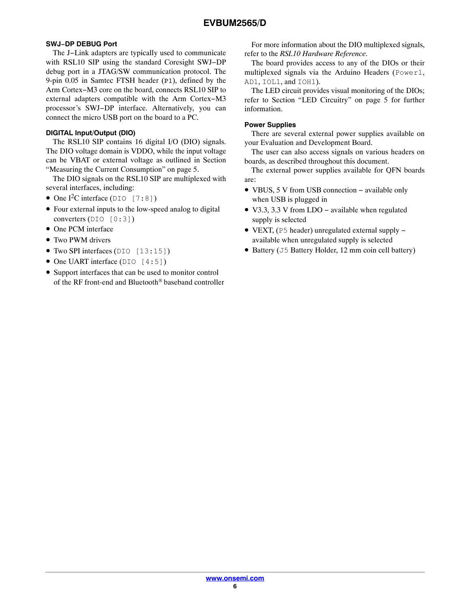## **SWJ−DP DEBUG Port**

The J−Link adapters are typically used to communicate with RSL10 SIP using the standard Coresight SWJ−DP debug port in a JTAG/SW communication protocol. The 9-pin 0.05 in Samtec FTSH header (P1), defined by the Arm Cortex−M3 core on the board, connects RSL10 SIP to external adapters compatible with the Arm Cortex−M3 processor's SWJ−DP interface. Alternatively, you can connect the micro USB port on the board to a PC.

#### **DIGITAL Input/Output (DIO)**

The RSL10 SIP contains 16 digital I/O (DIO) signals. The DIO voltage domain is VDDO, while the input voltage can be VBAT or external voltage as outlined in Section "Measuring the Current Consumption" on page [5](#page-4-0).

The DIO signals on the RSL10 SIP are multiplexed with several interfaces, including:

- One I<sup>2</sup>C interface (DIO [7:8])
- Four external inputs to the low-speed analog to digital converters (DIO [0:3])
- One PCM interface
- Two PWM drivers
- Two SPI interfaces (DIO [13:15])
- One UART interface (DIO [4:5])
- Support interfaces that can be used to monitor control of the RF front-end and Bluetooth® baseband controller

For more information about the DIO multiplexed signals, refer to the *RSL10 Hardware Reference*.

The board provides access to any of the DIOs or their multiplexed signals via the Arduino Headers (Power1, AD1, IOL1, and IOH1).

The LED circuit provides visual monitoring of the DIOs; refer to Section "LED Circuitry" on page [5](#page-4-0) for further information.

#### **Power Supplies**

There are several external power supplies available on your Evaluation and Development Board.

The user can also access signals on various headers on boards, as described throughout this document.

The external power supplies available for QFN boards are:

- VBUS, 5 V from USB connection − available only when USB is plugged in
- V3.3, 3.3 V from LDO − available when regulated supply is selected
- VEXT, (P5 header) unregulated external supply − available when unregulated supply is selected
- Battery (J5 Battery Holder, 12 mm coin cell battery)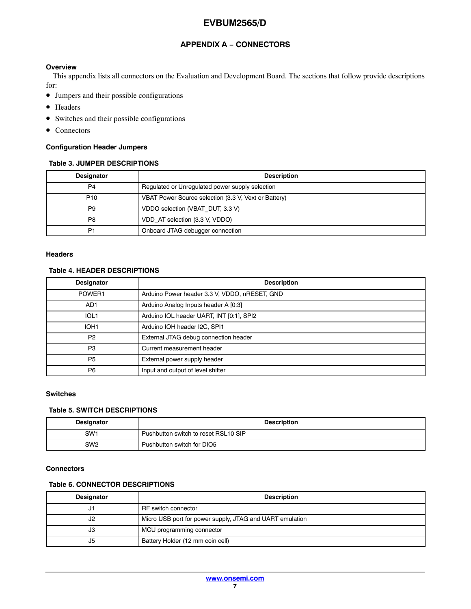## **APPENDIX A − CONNECTORS**

#### **Overview**

This appendix lists all connectors on the Evaluation and Development Board. The sections that follow provide descriptions for:

- Jumpers and their possible configurations
- Headers
- Switches and their possible configurations
- Connectors

#### **Configuration Header Jumpers**

#### **Table 3. JUMPER DESCRIPTIONS**

| <b>Designator</b> | <b>Description</b>                                   |
|-------------------|------------------------------------------------------|
| P4                | Regulated or Unregulated power supply selection      |
| P <sub>10</sub>   | VBAT Power Source selection (3.3 V, Vext or Battery) |
| P <sub>9</sub>    | VDDO selection (VBAT DUT, 3.3 V)                     |
| P <sub>8</sub>    | VDD AT selection (3.3 V, VDDO)                       |
| P <sub>1</sub>    | Onboard JTAG debugger connection                     |

#### **Headers**

#### **Table 4. HEADER DESCRIPTIONS**

| <b>Designator</b> | <b>Description</b>                            |
|-------------------|-----------------------------------------------|
| POWER1            | Arduino Power header 3.3 V, VDDO, nRESET, GND |
| AD <sub>1</sub>   | Arduino Analog Inputs header A [0:3]          |
| IOL <sub>1</sub>  | Arduino IOL header UART, INT [0:1], SPI2      |
| IOH <sub>1</sub>  | Arduino IOH header I2C, SPI1                  |
| P <sub>2</sub>    | External JTAG debug connection header         |
| P <sub>3</sub>    | Current measurement header                    |
| <b>P5</b>         | External power supply header                  |
| P <sub>6</sub>    | Input and output of level shifter             |

#### **Switches**

#### **Table 5. SWITCH DESCRIPTIONS**

| <b>Designator</b> | <b>Description</b>                   |
|-------------------|--------------------------------------|
| SW <sub>1</sub>   | Pushbutton switch to reset RSL10 SIP |
| SW <sub>2</sub>   | Pushbutton switch for DIO5           |

#### **Connectors**

#### **Table 6. CONNECTOR DESCRIPTIONS**

| <b>Designator</b> | <b>Description</b>                                       |
|-------------------|----------------------------------------------------------|
| ۱ ک               | RF switch connector                                      |
| J2                | Micro USB port for power supply, JTAG and UART emulation |
| JЗ                | MCU programming connector                                |
| J5                | Battery Holder (12 mm coin cell)                         |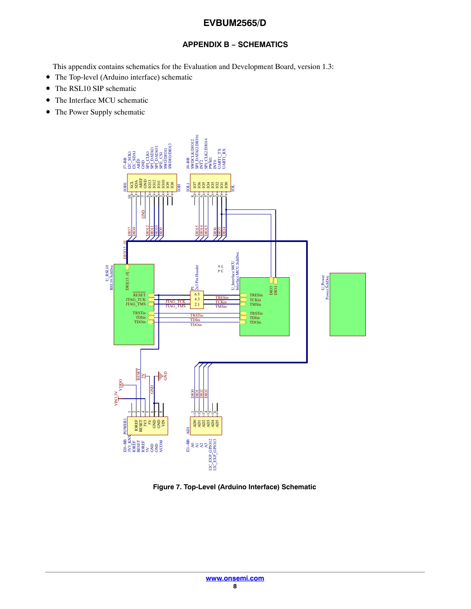## **APPENDIX B − SCHEMATICS**

This appendix contains schematics for the Evaluation and Development Board, version 1.3:

- The Top-level (Arduino interface) schematic
- The RSL10 SIP schematic
- The Interface MCU schematic
- The Power Supply schematic



**Figure 7. Top-Level (Arduino Interface) Schematic**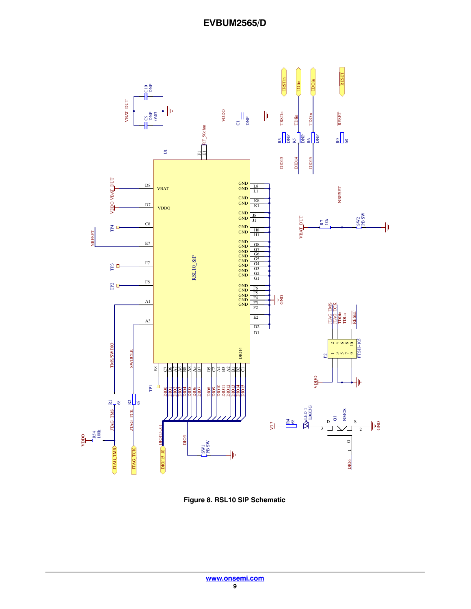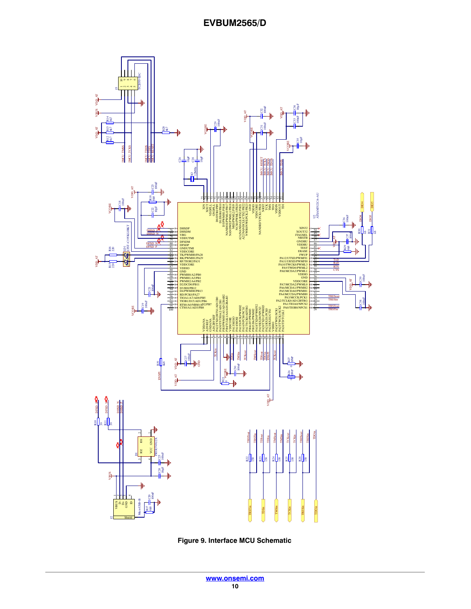

**Figure 9. Interface MCU Schematic**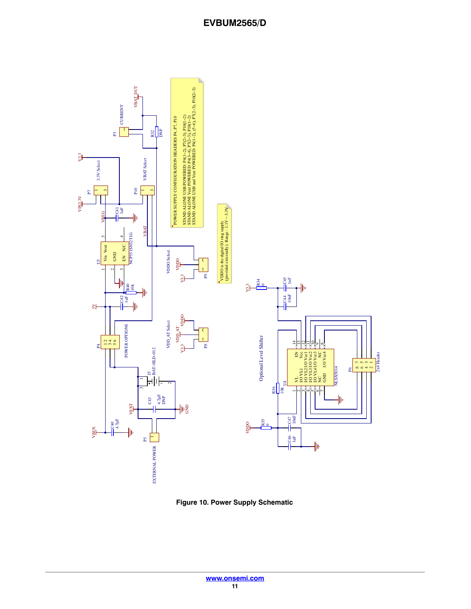

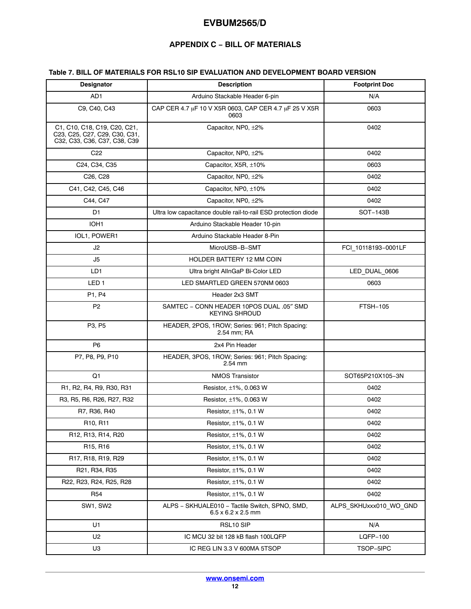## **APPENDIX C − BILL OF MATERIALS**

## <span id="page-11-0"></span>**Table 7. BILL OF MATERIALS FOR RSL10 SIP EVALUATION AND DEVELOPMENT BOARD VERSION**

| <b>Designator</b>                                                                                     | <b>Description</b>                                                               | <b>Footprint Doc</b>   |
|-------------------------------------------------------------------------------------------------------|----------------------------------------------------------------------------------|------------------------|
| AD <sub>1</sub>                                                                                       | Arduino Stackable Header 6-pin                                                   | N/A                    |
| C9, C40, C43                                                                                          | CAP CER 4.7 µF 10 V X5R 0603, CAP CER 4.7 µF 25 V X5R<br>0603                    | 0603                   |
| C1, C10, C18, C19, C20, C21,<br>C23, C25, C27, C29, C30, C31,<br>C32, C33, C36, C37, C38, C39         | Capacitor, NP0, ±2%                                                              | 0402                   |
| C <sub>22</sub>                                                                                       | Capacitor, NP0, $\pm 2\%$                                                        | 0402                   |
| C24, C34, C35                                                                                         | Capacitor, $X5R, \pm 10\%$                                                       | 0603                   |
| C <sub>26</sub> , C <sub>28</sub>                                                                     | Capacitor, NP0, ±2%                                                              | 0402                   |
| C41, C42, C45, C46                                                                                    | Capacitor, NP0, ±10%                                                             | 0402                   |
| C44, C47                                                                                              | Capacitor, NP0, ±2%                                                              | 0402                   |
| D1                                                                                                    | Ultra low capacitance double rail-to-rail ESD protection diode                   | SOT-143B               |
| IOH1                                                                                                  | Arduino Stackable Header 10-pin                                                  |                        |
| IOL1, POWER1                                                                                          | Arduino Stackable Header 8-Pin                                                   |                        |
| J2                                                                                                    | MicroUSB-B-SMT                                                                   | FCI 10118193-0001LF    |
| J5                                                                                                    | HOLDER BATTERY 12 MM COIN                                                        |                        |
| LD1                                                                                                   | Ultra bright AllnGaP Bi-Color LED                                                | LED_DUAL_0606          |
| LED <sub>1</sub>                                                                                      | LED SMARTLED GREEN 570NM 0603                                                    | 0603                   |
| P1, P4                                                                                                | Header 2x3 SMT                                                                   |                        |
| P <sub>2</sub>                                                                                        | SAMTEC - CONN HEADER 10POS DUAL .05" SMD<br><b>KEYING SHROUD</b>                 | <b>FTSH-105</b>        |
| P3, P5                                                                                                | HEADER, 2POS, 1ROW; Series: 961; Pitch Spacing:<br>2.54 mm; RA                   |                        |
| P <sub>6</sub>                                                                                        | 2x4 Pin Header                                                                   |                        |
| P7, P8, P9, P10                                                                                       | HEADER, 3POS, 1ROW; Series: 961; Pitch Spacing:<br>2.54 mm                       |                        |
| Q <sub>1</sub>                                                                                        | <b>NMOS Transistor</b>                                                           | SOT65P210X105-3N       |
| R <sub>1</sub> , R <sub>2</sub> , R <sub>4</sub> , R <sub>9</sub> , R <sub>30</sub> , R <sub>31</sub> | Resistor, ±1%, 0.063 W                                                           | 0402                   |
| R3, R5, R6, R26, R27, R32                                                                             | Resistor, ±1%, 0.063 W                                                           | 0402                   |
| R7, R36, R40                                                                                          | Resistor, $\pm 1\%$ , 0.1 W                                                      | 0402                   |
| R10, R11                                                                                              | Resistor, ±1%, 0.1 W                                                             | 0402                   |
| R12, R13, R14, R20                                                                                    | Resistor, $\pm 1\%$ , 0.1 W                                                      | 0402                   |
| R <sub>15</sub> , R <sub>16</sub>                                                                     | Resistor, $\pm 1\%$ , 0.1 W                                                      | 0402                   |
| R17, R18, R19, R29                                                                                    | Resistor, $\pm 1\%$ , 0.1 W                                                      | 0402                   |
| R21, R34, R35                                                                                         | Resistor, $\pm 1\%$ , 0.1 W                                                      | 0402                   |
| R22, R23, R24, R25, R28                                                                               | Resistor, $\pm 1\%$ , 0.1 W                                                      | 0402                   |
| R54                                                                                                   | Resistor, $\pm 1\%$ , 0.1 W                                                      | 0402                   |
| SW1, SW2                                                                                              | ALPS - SKHUALE010 - Tactile Switch, SPNO, SMD,<br>$6.5 \times 6.2 \times 2.5$ mm | ALPS_SKHUxxx010_WO_GND |
| U1                                                                                                    | RSL10 SIP                                                                        | N/A                    |
| U2                                                                                                    | IC MCU 32 bit 128 kB flash 100LQFP                                               | <b>LQFP-100</b>        |
| U <sub>3</sub>                                                                                        | IC REG LIN 3.3 V 600MA 5TSOP                                                     | TSOP-5IPC              |